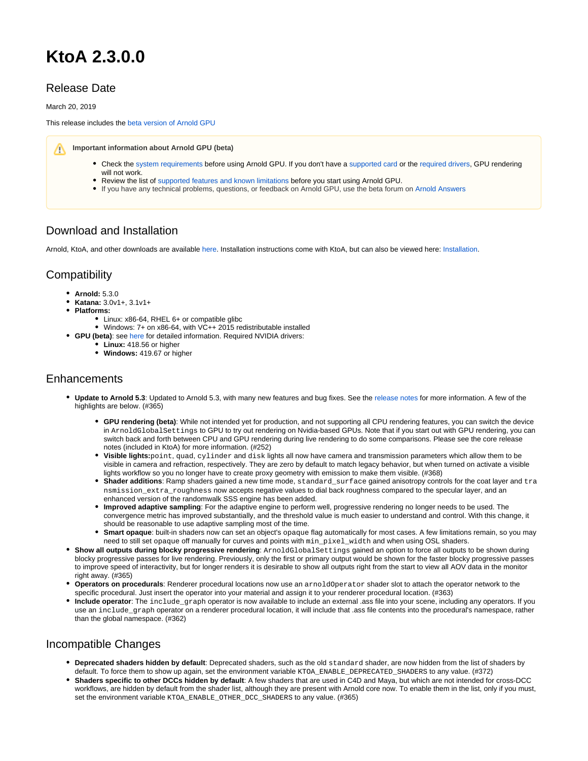# **KtoA 2.3.0.0**

# Release Date

March 20, 2019

This release includes the [beta version of Arnold GPU](https://docs.arnoldrenderer.com/display/A5AFMUG/Getting+Started+with+Arnold+GPU)

**Important information about Arnold GPU (beta)**

- Check the [system requirements](https://docs.arnoldrenderer.com/display/A5AFMUG/Getting+Started+with+Arnold+GPU#GettingStartedwithArnoldGPU-gpu_system_requirements) before using Arnold GPU. If you don't have a [supported card](https://docs.arnoldrenderer.com/display/A5ARP/Supported+GPUs) or the [required drivers](https://docs.arnoldrenderer.com/display/A5AFMUG/Getting+Started+with+Arnold+GPU#GettingStartedwithArnoldGPU-gpu_system_requirements), GPU rendering will not work.
- Review the list of [supported features and known limitations](https://docs.arnoldrenderer.com/display/A5ARP/Supported+Features+and+Known+Limitations) before you start using Arnold GPU.
- If you have any technical problems, questions, or feedback on Arnold GPU, use the beta forum on [Arnold Answers](https://answers.arnoldrenderer.com/spaces/31/arnold-gpu-beta.html)

## Download and Installation

Arnold, KtoA, and other downloads are available [here.](https://www.arnoldrenderer.com/arnold/download/) Installation instructions come with KtoA, but can also be viewed here: [Installation](https://docs.arnoldrenderer.com/display/A5KTN/Installation).

### **Compatibility**

- **Arnold:** 5.3.0
- **Katana:** 3.0v1+, 3.1v1+
- **Platforms:**
	- Linux: x86-64, RHEL 6+ or compatible glibc
	- Windows: 7+ on x86-64, with VC++ 2015 redistributable installed
- **GPU (beta)**: see [here](https://docs.arnoldrenderer.com/display/A5ARP/Getting+Started+With+Arnold+GPU) for detailed information. Required NVIDIA drivers:
	- **Linux:** 418.56 or higher
	- **Windows:** 419.67 or higher

#### Enhancements

- **Update to Arnold 5.3**: Updated to Arnold 5.3, with many new features and bug fixes. See the [release notes](https://docs.arnoldrenderer.com/display/A5ARP/5.3.0.0) for more information. A few of the highlights are below. (#365)
	- **GPU rendering (beta)**: While not intended yet for production, and not supporting all CPU rendering features, you can switch the device in ArnoldGlobalSettings to GPU to try out rendering on Nvidia-based GPUs. Note that if you start out with GPU rendering, you can switch back and forth between CPU and GPU rendering during live rendering to do some comparisons. Please see the core release notes (included in KtoA) for more information. (#252)
	- **Visible lights:**point, quad, cylinder and disk lights all now have camera and transmission parameters which allow them to be visible in camera and refraction, respectively. They are zero by default to match legacy behavior, but when turned on activate a visible lights workflow so you no longer have to create proxy geometry with emission to make them visible. (#368)
	- **Shader additions**: Ramp shaders gained a new time mode, standard\_surface gained anisotropy controls for the coat layer and tra nsmission\_extra\_roughness now accepts negative values to dial back roughness compared to the specular layer, and an enhanced version of the randomwalk SSS engine has been added.
	- **Improved adaptive sampling**: For the adaptive engine to perform well, progressive rendering no longer needs to be used. The convergence metric has improved substantially, and the threshold value is much easier to understand and control. With this change, it should be reasonable to use adaptive sampling most of the time.
	- **Smart opaque**: built-in shaders now can set an object's opaque flag automatically for most cases. A few limitations remain, so you may need to still set opaque off manually for curves and points with min\_pixel\_width and when using OSL shaders.
- **Show all outputs during blocky progressive rendering**: ArnoldGlobalSettings gained an option to force all outputs to be shown during blocky progressive passes for live rendering. Previously, only the first or primary output would be shown for the faster blocky progressive passes to improve speed of interactivity, but for longer renders it is desirable to show all outputs right from the start to view all AOV data in the monitor right away. (#365)
- **Operators on procedurals**: Renderer procedural locations now use an arnoldOperator shader slot to attach the operator network to the specific procedural. Just insert the operator into your material and assign it to your renderer procedural location. (#363)
- **Include operator**: The include\_graph operator is now available to include an external .ass file into your scene, including any operators. If you use an include\_graph operator on a renderer procedural location, it will include that .ass file contents into the procedural's namespace, rather than the global namespace. (#362)

### Incompatible Changes

- **Deprecated shaders hidden by default**: Deprecated shaders, such as the old standard shader, are now hidden from the list of shaders by default. To force them to show up again, set the environment variable KTOA\_ENABLE\_DEPRECATED\_SHADERS to any value. (#372)
- **Shaders specific to other DCCs hidden by default**: A few shaders that are used in C4D and Maya, but which are not intended for cross-DCC workflows, are hidden by default from the shader list, although they are present with Arnold core now. To enable them in the list, only if you must, set the environment variable KTOA\_ENABLE\_OTHER\_DCC\_SHADERS to any value. (#365)